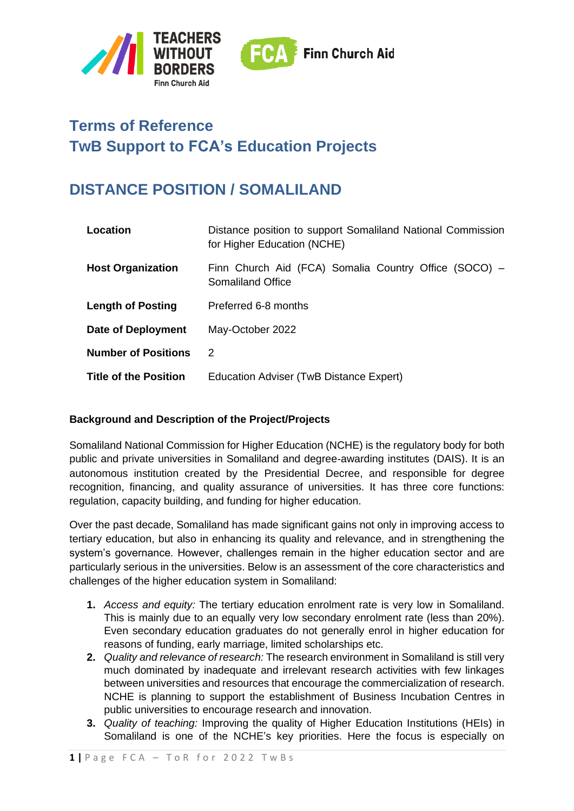

# **Terms of Reference TwB Support to FCA's Education Projects**

# **DISTANCE POSITION / SOMALILAND**

| Location                     | Distance position to support Somaliland National Commission<br>for Higher Education (NCHE) |
|------------------------------|--------------------------------------------------------------------------------------------|
| <b>Host Organization</b>     | Finn Church Aid (FCA) Somalia Country Office (SOCO) -<br>Somaliland Office                 |
| <b>Length of Posting</b>     | Preferred 6-8 months                                                                       |
| Date of Deployment           | May-October 2022                                                                           |
| <b>Number of Positions</b>   | 2                                                                                          |
| <b>Title of the Position</b> | Education Adviser (TwB Distance Expert)                                                    |

## **Background and Description of the Project/Projects**

Somaliland National Commission for Higher Education (NCHE) is the regulatory body for both public and private universities in Somaliland and degree-awarding institutes (DAIS). It is an autonomous institution created by the Presidential Decree, and responsible for degree recognition, financing, and quality assurance of universities. It has three core functions: regulation, capacity building, and funding for higher education.

Over the past decade, Somaliland has made significant gains not only in improving access to tertiary education, but also in enhancing its quality and relevance, and in strengthening the system's governance. However, challenges remain in the higher education sector and are particularly serious in the universities. Below is an assessment of the core characteristics and challenges of the higher education system in Somaliland:

- **1.** *Access and equity:* The tertiary education enrolment rate is very low in Somaliland. This is mainly due to an equally very low secondary enrolment rate (less than 20%). Even secondary education graduates do not generally enrol in higher education for reasons of funding, early marriage, limited scholarships etc.
- **2.** *Quality and relevance of research:* The research environment in Somaliland is still very much dominated by inadequate and irrelevant research activities with few linkages between universities and resources that encourage the commercialization of research. NCHE is planning to support the establishment of Business Incubation Centres in public universities to encourage research and innovation.
- **3.** *Quality of teaching:* Improving the quality of Higher Education Institutions (HEIs) in Somaliland is one of the NCHE's key priorities. Here the focus is especially on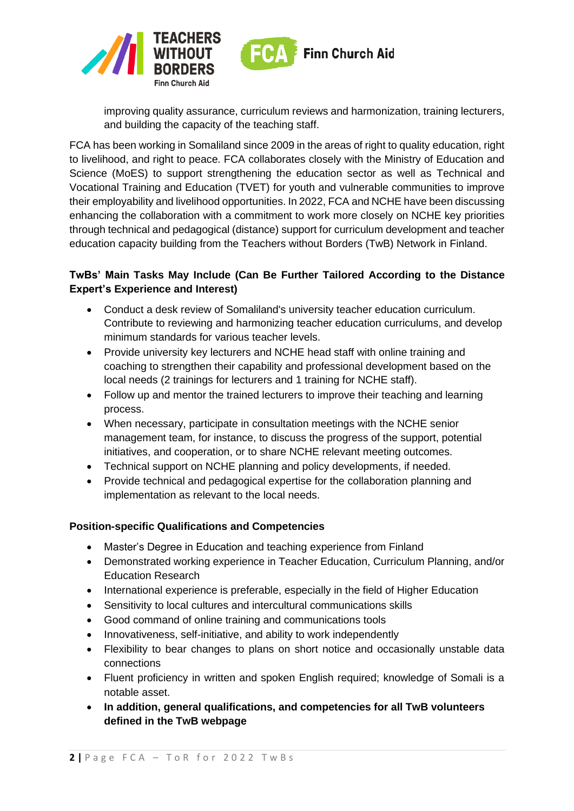

improving quality assurance, curriculum reviews and harmonization, training lecturers, and building the capacity of the teaching staff.

FCA has been working in Somaliland since 2009 in the areas of right to quality education, right to livelihood, and right to peace. FCA collaborates closely with the Ministry of Education and Science (MoES) to support strengthening the education sector as well as Technical and Vocational Training and Education (TVET) for youth and vulnerable communities to improve their employability and livelihood opportunities. In 2022, FCA and NCHE have been discussing enhancing the collaboration with a commitment to work more closely on NCHE key priorities through technical and pedagogical (distance) support for curriculum development and teacher education capacity building from the Teachers without Borders (TwB) Network in Finland.

# **TwBs' Main Tasks May Include (Can Be Further Tailored According to the Distance Expert's Experience and Interest)**

- Conduct a desk review of Somaliland's university teacher education curriculum. Contribute to reviewing and harmonizing teacher education curriculums, and develop minimum standards for various teacher levels.
- Provide university key lecturers and NCHE head staff with online training and coaching to strengthen their capability and professional development based on the local needs (2 trainings for lecturers and 1 training for NCHE staff).
- Follow up and mentor the trained lecturers to improve their teaching and learning process.
- When necessary, participate in consultation meetings with the NCHE senior management team, for instance, to discuss the progress of the support, potential initiatives, and cooperation, or to share NCHE relevant meeting outcomes.
- Technical support on NCHE planning and policy developments, if needed.
- Provide technical and pedagogical expertise for the collaboration planning and implementation as relevant to the local needs.

## **Position-specific Qualifications and Competencies**

- Master's Degree in Education and teaching experience from Finland
- Demonstrated working experience in Teacher Education, Curriculum Planning, and/or Education Research
- International experience is preferable, especially in the field of Higher Education
- Sensitivity to local cultures and intercultural communications skills
- Good command of online training and communications tools
- Innovativeness, self-initiative, and ability to work independently
- Flexibility to bear changes to plans on short notice and occasionally unstable data connections
- Fluent proficiency in written and spoken English required; knowledge of Somali is a notable asset.
- **In addition, general qualifications, and competencies for all TwB volunteers defined in the TwB webpage**